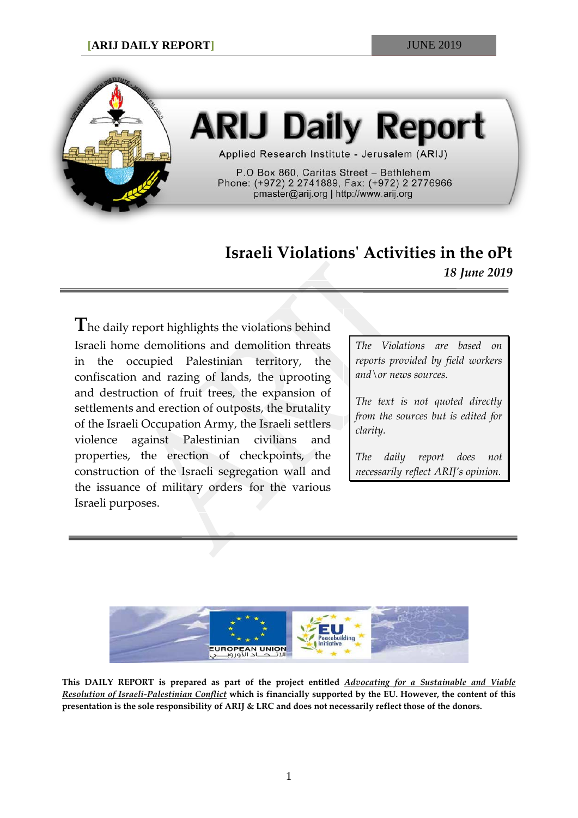

# **ARIJ Daily Report**

Applied Research Institute - Jerusalem (ARIJ)

P.O Box 860, Caritas Street - Bethlehem Phone: (+972) 2 2741889, Fax: (+972) 2 2776966 pmaster@arij.org | http://www.arij.org

# **Israeli Violations' Activities in the oPt** *18 June 2019*

**T**he daily report highlights the violations behind Israeli home demolitions and demolition threats in the occupied Palestinian territory, the confiscation and razing of lands, the uprooting and destruction of fruit trees, the expansion of settlements and erection of outposts, the brutality of the Israeli Occupation Army, the Israeli settlers violence against Palestinian civilians and properties, the erection of checkpoints, the construction of the Israeli segregation wall and the issuance of military orders for the various Israeli purposes.

*The Violations are based on reports provided by field workers and\or news sources.*

*The text is not quoted directly from the sources but is edited for clarity.*

*The daily report does not necessarily reflect ARIJ's opinion.*



**This DAILY REPORT is prepared as part of the project entitled** *Advocating for a Sustainable and Viable Resolution of Israeli-Palestinian Conflict* **which is financially supported by the EU. However, the content of this presentation is the sole responsibility of ARIJ & LRC and does not necessarily reflect those of the donors.**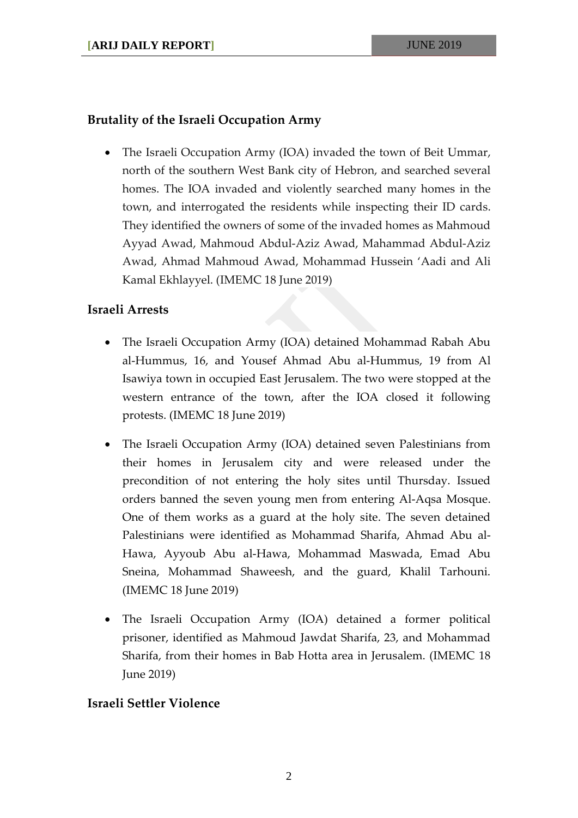## **Brutality of the Israeli Occupation Army**

• The Israeli Occupation Army (IOA) invaded the town of Beit Ummar, north of the southern West Bank city of Hebron, and searched several homes. The IOA invaded and violently searched many homes in the town, and interrogated the residents while inspecting their ID cards. They identified the owners of some of the invaded homes as Mahmoud Ayyad Awad, Mahmoud Abdul-Aziz Awad, Mahammad Abdul-Aziz Awad, Ahmad Mahmoud Awad, Mohammad Hussein 'Aadi and Ali Kamal Ekhlayyel. (IMEMC 18 June 2019)

## **Israeli Arrests**

- The Israeli Occupation Army (IOA) detained Mohammad Rabah Abu al-Hummus, 16, and Yousef Ahmad Abu al-Hummus, 19 from Al Isawiya town in occupied East Jerusalem. The two were stopped at the western entrance of the town, after the IOA closed it following protests. (IMEMC 18 June 2019)
- The Israeli Occupation Army (IOA) detained seven Palestinians from their homes in Jerusalem city and were released under the precondition of not entering the holy sites until Thursday. Issued orders banned the seven young men from entering Al-Aqsa Mosque. One of them works as a guard at the holy site. The seven detained Palestinians were identified as Mohammad Sharifa, Ahmad Abu al-Hawa, Ayyoub Abu al-Hawa, Mohammad Maswada, Emad Abu Sneina, Mohammad Shaweesh, and the guard, Khalil Tarhouni. (IMEMC 18 June 2019)
- The Israeli Occupation Army (IOA) detained a former political prisoner, identified as Mahmoud Jawdat Sharifa, 23, and Mohammad Sharifa, from their homes in Bab Hotta area in Jerusalem. (IMEMC 18 June 2019)

## **Israeli Settler Violence**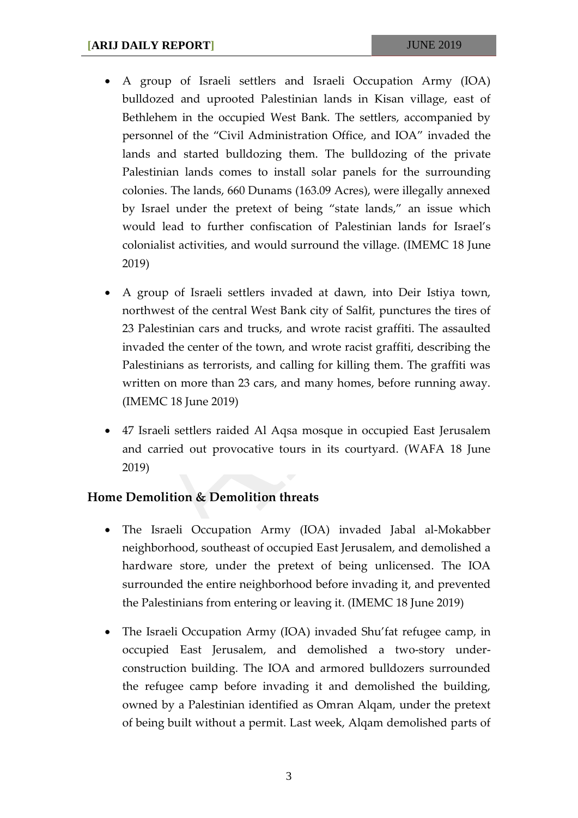- A group of Israeli settlers and Israeli Occupation Army (IOA) bulldozed and uprooted Palestinian lands in Kisan village, east of Bethlehem in the occupied West Bank. The settlers, accompanied by personnel of the "Civil Administration Office, and IOA" invaded the lands and started bulldozing them. The bulldozing of the private Palestinian lands comes to install solar panels for the surrounding colonies. The lands, 660 Dunams (163.09 Acres), were illegally annexed by Israel under the pretext of being "state lands," an issue which would lead to further confiscation of Palestinian lands for Israel's colonialist activities, and would surround the village. (IMEMC 18 June 2019)
- A group of Israeli settlers invaded at dawn, into Deir Istiya town, northwest of the central West Bank city of Salfit, punctures the tires of 23 Palestinian cars and trucks, and wrote racist graffiti. The assaulted invaded the center of the town, and wrote racist graffiti, describing the Palestinians as terrorists, and calling for killing them. The graffiti was written on more than 23 cars, and many homes, before running away. (IMEMC 18 June 2019)
- 47 Israeli settlers raided Al Aqsa mosque in occupied East Jerusalem and carried out provocative tours in its courtyard. (WAFA 18 June 2019)

#### **Home Demolition & Demolition threats**

- The Israeli Occupation Army (IOA) invaded Jabal al-Mokabber neighborhood, southeast of occupied East Jerusalem, and demolished a hardware store, under the pretext of being unlicensed. The IOA surrounded the entire neighborhood before invading it, and prevented the Palestinians from entering or leaving it. (IMEMC 18 June 2019)
- The Israeli Occupation Army (IOA) invaded Shu'fat refugee camp, in occupied East Jerusalem, and demolished a two-story underconstruction building. The IOA and armored bulldozers surrounded the refugee camp before invading it and demolished the building, owned by a Palestinian identified as Omran Alqam, under the pretext of being built without a permit. Last week, Alqam demolished parts of